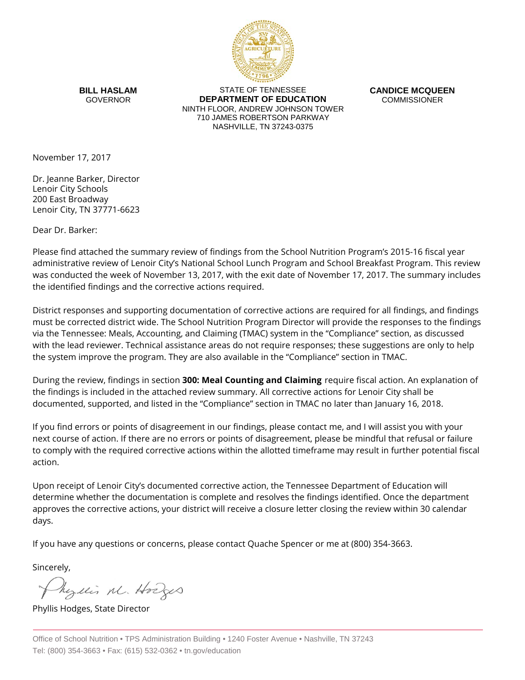

**BILL HASLAM** GOVERNOR

STATE OF TENNESSEE **DEPARTMENT OF EDUCATION** NINTH FLOOR, ANDREW JOHNSON TOWER 710 JAMES ROBERTSON PARKWAY NASHVILLE, TN 37243-0375

**CANDICE MCQUEEN** COMMISSIONER

November 17, 2017

Dr. Jeanne Barker, Director Lenoir City Schools 200 East Broadway Lenoir City, TN 37771-6623

Dear Dr. Barker:

Please find attached the summary review of findings from the School Nutrition Program's 2015-16 fiscal year administrative review of Lenoir City's National School Lunch Program and School Breakfast Program. This review was conducted the week of November 13, 2017, with the exit date of November 17, 2017. The summary includes the identified findings and the corrective actions required.

District responses and supporting documentation of corrective actions are required for all findings, and findings must be corrected district wide. The School Nutrition Program Director will provide the responses to the findings via the Tennessee: Meals, Accounting, and Claiming (TMAC) system in the "Compliance" section, as discussed with the lead reviewer. Technical assistance areas do not require responses; these suggestions are only to help the system improve the program. They are also available in the "Compliance" section in TMAC.

During the review, findings in section **300: Meal Counting and Claiming** require fiscal action. An explanation of the findings is included in the attached review summary. All corrective actions for Lenoir City shall be documented, supported, and listed in the "Compliance" section in TMAC no later than January 16, 2018.

If you find errors or points of disagreement in our findings, please contact me, and I will assist you with your next course of action. If there are no errors or points of disagreement, please be mindful that refusal or failure to comply with the required corrective actions within the allotted timeframe may result in further potential fiscal action.

Upon receipt of Lenoir City's documented corrective action, the Tennessee Department of Education will determine whether the documentation is complete and resolves the findings identified. Once the department approves the corrective actions, your district will receive a closure letter closing the review within 30 calendar days.

If you have any questions or concerns, please contact Quache Spencer or me at (800) 354-3663.

Sincerely,

Myllis M. Hodges

Phyllis Hodges, State Director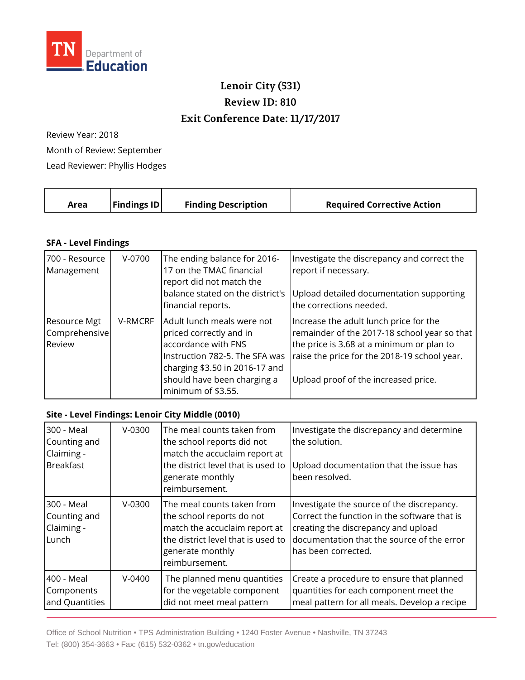

## **Lenoir City (531) Review ID: 810 Exit Conference Date: 11/17/2017**

Review Year: 2018 Month of Review: September Lead Reviewer: Phyllis Hodges

| <b>Findings ID</b><br><b>Finding Description</b><br><b>Required Corrective Action</b><br>Area |  |
|-----------------------------------------------------------------------------------------------|--|
|-----------------------------------------------------------------------------------------------|--|

## **SFA - Level Findings**

| 700 - Resource<br>Management                   | $V-0700$ | The ending balance for 2016-<br>17 on the TMAC financial<br>report did not match the<br>balance stated on the district's<br>financial reports.                                                        | Investigate the discrepancy and correct the<br>report if necessary.<br>Upload detailed documentation supporting<br>the corrections needed.                                                                                  |
|------------------------------------------------|----------|-------------------------------------------------------------------------------------------------------------------------------------------------------------------------------------------------------|-----------------------------------------------------------------------------------------------------------------------------------------------------------------------------------------------------------------------------|
| <b>Resource Mgt</b><br>Comprehensive<br>Review | V-RMCRF  | Adult lunch meals were not<br>priced correctly and in<br>accordance with FNS<br>Instruction 782-5. The SFA was<br>charging \$3.50 in 2016-17 and<br>should have been charging a<br>minimum of \$3.55. | Increase the adult lunch price for the<br>remainder of the 2017-18 school year so that<br>the price is 3.68 at a minimum or plan to<br>raise the price for the 2018-19 school year.<br>Upload proof of the increased price. |

## **Site - Level Findings: Lenoir City Middle (0010)**

| 300 - Meal<br>Counting and<br>Claiming -<br><b>Breakfast</b> | $V-0300$   | The meal counts taken from<br>the school reports did not<br>match the accuclaim report at<br>the district level that is used to<br>generate monthly<br>reimbursement. | Investigate the discrepancy and determine<br>the solution.<br>Upload documentation that the issue has<br>been resolved.                                                                                |
|--------------------------------------------------------------|------------|-----------------------------------------------------------------------------------------------------------------------------------------------------------------------|--------------------------------------------------------------------------------------------------------------------------------------------------------------------------------------------------------|
| 300 - Meal<br>Counting and<br>Claiming -<br>Lunch            | $V-0300$   | The meal counts taken from<br>the school reports do not<br>match the accuclaim report at<br>the district level that is used to<br>generate monthly<br>reimbursement.  | Investigate the source of the discrepancy.<br>Correct the function in the software that is<br>creating the discrepancy and upload<br>documentation that the source of the error<br>has been corrected. |
| 400 - Meal<br>Components<br>and Quantities                   | $V - 0400$ | The planned menu quantities<br>for the vegetable component<br>did not meet meal pattern                                                                               | Create a procedure to ensure that planned<br>quantities for each component meet the<br>meal pattern for all meals. Develop a recipe                                                                    |